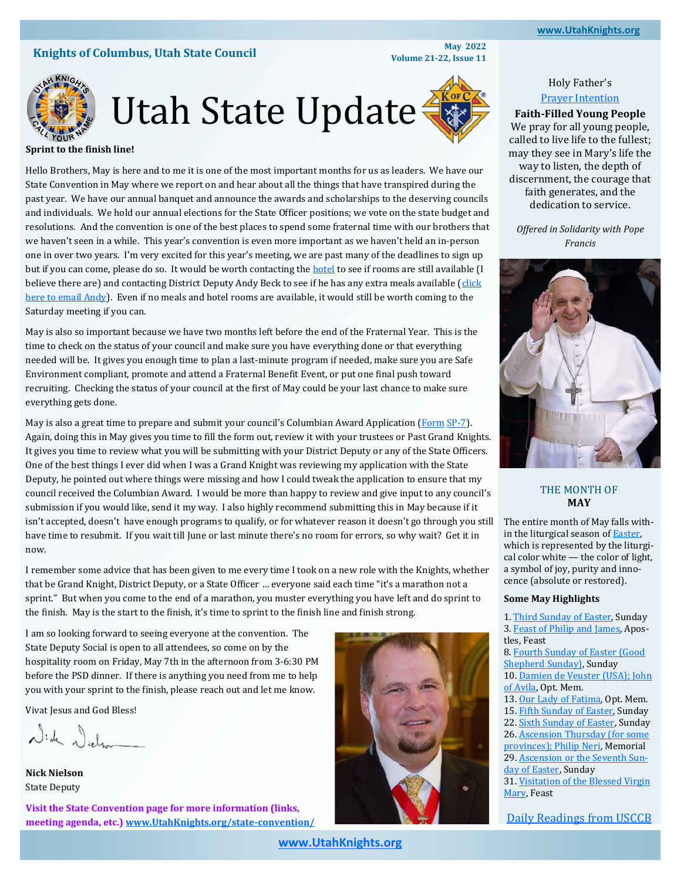#### **[www.UtahKnights.org](http://www.UtahKnights.org) [www.UtahKnights.org](https://www.UtahKnights.org)**

# **Knights of Columbus, Utah State Council May 2022**<br>**Knights of Columbus, Utah State Council May 2022**

**Volume 21-22, Issue 11**



# Utah Stat[e](https://www.kofc.org/) Update

#### **Sprint to the finish line!**

Hello Brothers, May is here and to me it is one of the most important months for us as leaders. We have our State Convention in May where we report on and hear about all the things that have transpired during the past year. We have our annual banquet and announce the awards and scholarships to the deserving councils and individuals. We hold our annual elections for the State Officer positions; we vote on the state budget and resolutions. And the convention is one of the best places to spend some fraternal time with our brothers that we haven't seen in a while. This year's convention is even more important as we haven't held an in-person one in over two years. I'm very excited for this year's meeting, we are past many of the deadlines to sign up but if you can come, please do so. It would be worth contacting the [hotel](https://www.choicehotels.com/reservations/groups/bv31f5?checkInDate=2022-05-06&checkOutDate=2022-05-08&ratePlanCode=BUJFVT) to see if rooms are still available (I believe there are) and contacting District Deputy Andy Beck to see if he has any extra meals available (click [here to email Andy\)](https://utahknights.org/knight/andy-beck/). Even if no meals and hotel rooms are available, it would still be worth coming to the Saturday meeting if you can.

May is also so important because we have two months left before the end of the Fraternal Year. This is the time to check on the status of your council and make sure you have everything done or that everything needed will be. It gives you enough time to plan a last-minute program if needed, make sure you are Safe Environment compliant, promote and attend a Fraternal Benefit Event, or put one final push toward recruiting. Checking the status of your council at the first of May could be your last chance to make sure everything gets done.

May is also a great time to prepare and submit your council's Columbian Award Application [\(Form](https://www.kofc.org/en/forms/spa/invite.html?lang=en&form=SP7C.01) [SP](https://www.kofc.org/en/forms/council/columbian_awardap_p.pdf)-7). Again, doing this in May gives you time to fill the form out, review it with your trustees or Past Grand Knights. It gives you time to review what you will be submitting with your District Deputy or any of the State Officers. One of the best things I ever did when I was a Grand Knight was reviewing my application with the State Deputy, he pointed out where things were missing and how I could tweak the application to ensure that my council received the Columbian Award. I would be more than happy to review and give input to any council's submission if you would like, send it my way. I also highly recommend submitting this in May because if it isn't accepted, doesn't have enough programs to qualify, or for whatever reason it doesn't go through you still have time to resubmit. If you wait till June or last minute there's no room for errors, so why wait? Get it in now.

I remember some advice that has been given to me every time I took on a new role with the Knights, whether that be Grand Knight, District Deputy, or a State Officer … everyone said each time "it's a marathon not a sprint." But when you come to the end of a marathon, you muster everything you have left and do sprint to the finish. May is the start to the finish, it's time to sprint to the finish line and finish strong.

I am so looking forward to seeing everyone at the convention. The State Deputy Social is open to all attendees, so come on by the hospitality room on Friday, May 7th in the afternoon from 3-6:30 PM before the PSD dinner. If there is anything you need from me to help you with your sprint to the finish, please reach out and let me know.

Vivat Jesus and God Bless!

Nich Nichar

**Nick Nielson** State Deputy

**Visit the State Convention page for more information (links, meeting agenda, etc.) [www.UtahKnights.org/state](https://utahknights.org/state-convention/)-convention/**



## Holy Father's [Prayer Intention](https://www.usccb.org/prayers/popes-monthly-intentions-2022)

**Faith-Filled Young People** We pray for all young people, called to live life to the fullest; may they see in Mary's life the way to listen, the depth of discernment, the courage that faith generates, and the dedication to service.

*Offered in Solidarity with Pope Francis*



## THE MONTH OF **MAY**

The entire month of May falls within the liturgical season of [Easter,](https://www.catholicculture.org/culture/library/view.cfm?recnum=12049)  which is represented by the liturgical color white — the color of light, a symbol of joy, purity and innocence (absolute or restored).

#### **Some May Highlights**

1. [Third Sunday of Easter,](https://www.catholicculture.org/culture/liturgicalyear/calendar/day.cfm?date=2022-05-01) Sunday 3. [Feast of Philip and James,](https://www.catholicculture.org/culture/liturgicalyear/calendar/day.cfm?date=2022-05-03) Apostles, Feast 8. [Fourth Sunday of Easter \(Good](https://www.catholicculture.org/culture/liturgicalyear/calendar/day.cfm?date=2022-05-08)  [Shepherd Sunday\),](https://www.catholicculture.org/culture/liturgicalyear/calendar/day.cfm?date=2022-05-08) Sunday 10. [Damien de Veuster \(USA\); John](https://www.catholicculture.org/culture/liturgicalyear/calendar/day.cfm?date=2022-05-10)  [of Avila,](https://www.catholicculture.org/culture/liturgicalyear/calendar/day.cfm?date=2022-05-10) Opt. Mem. 13. [Our Lady of Fatima,](https://www.catholicculture.org/culture/liturgicalyear/calendar/day.cfm?date=2022-05-13) Opt. Mem. 15. [Fifth Sunday of Easter,](https://www.catholicculture.org/culture/liturgicalyear/calendar/day.cfm?date=2022-05-15) Sunday 22. [Sixth Sunday of Easter,](https://www.catholicculture.org/culture/liturgicalyear/calendar/day.cfm?date=2022-05-22) Sunday 26. Ascension Thursday (for some [provinces\); Philip Neri,](https://www.catholicculture.org/culture/liturgicalyear/calendar/day.cfm?date=2022-05-26) Memorial 29. [Ascension or the Seventh Sun](https://www.catholicculture.org/culture/liturgicalyear/calendar/day.cfm?date=2022-05-29)[day of Easter,](https://www.catholicculture.org/culture/liturgicalyear/calendar/day.cfm?date=2022-05-29) Sunday 31. [Visitation of the Blessed Virgin](https://www.catholicculture.org/culture/liturgicalyear/calendar/day.cfm?date=2022-05-31)  [Mary,](https://www.catholicculture.org/culture/liturgicalyear/calendar/day.cfm?date=2022-05-31) Feast

[Daily Readings from USCCB](https://bible.usccb.org/readings/calendar/202205)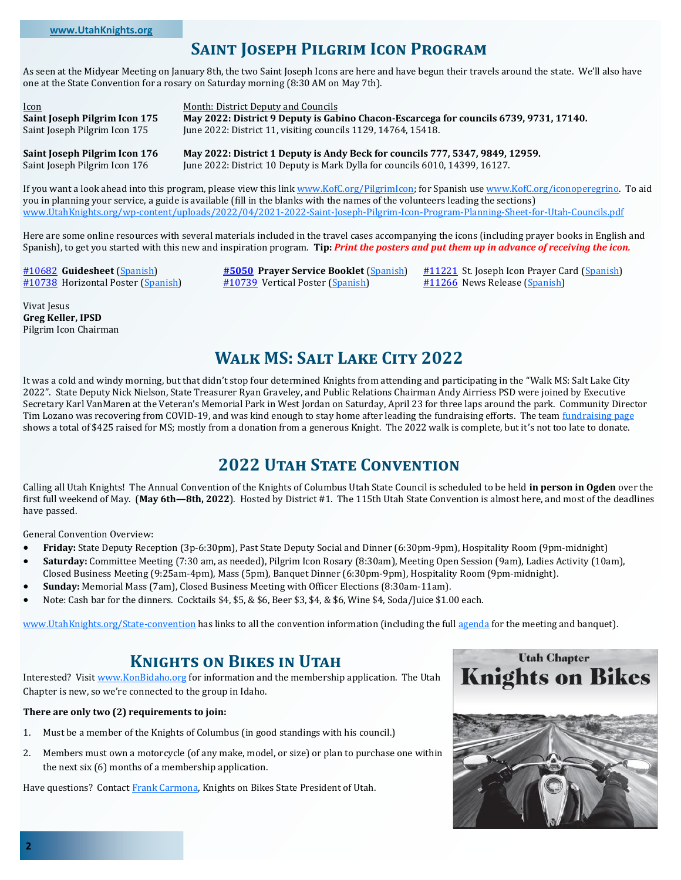# **Saint Joseph Pilgrim Icon Program**

As seen at the Midyear Meeting on January 8th, the two Saint Joseph Icons are here and have begun their travels around the state. We'll also have one at the State Convention for a rosary on Saturday morning (8:30 AM on May 7th).

Icon Month: District Deputy and Councils **Saint Joseph Pilgrim Icon 175 May 2022: District 9 Deputy is Gabino Chacon-Escarcega for councils 6739, 9731, 17140.** Saint Joseph Pilgrim Icon 175 June 2022: District 11, visiting councils 1129, 14764, 15418.

**Saint Joseph Pilgrim Icon 176 May 2022: District 1 Deputy is Andy Beck for councils 777, 5347, 9849, 12959.** Saint Joseph Pilgrim Icon 176 June 2022: District 10 Deputy is Mark Dylla for councils 6010, 14399, 16127.

If you want a look ahead into this program, please view this link [www.KofC.org/PilgrimIcon;](https://www.KofC.org/PilgrimIcon) for Spanish use [www.KofC.org/iconoperegrino.](https://www.kofc.org/iconoperegrino) To aid you in planning your service, a guide is available (fill in the blanks with the names of the volunteers leading the sections) www.UtahKnights.org/wp-[content/uploads/2022/04/2021](https://utahknights.org/wp-content/uploads/2022/04/2021-2022-Saint-Joseph-Pilgrim-Icon-Program-Planning-Sheet-for-Utah-Councils.pdf)-2022-Saint-Joseph-Pilgrim-Icon-Program-Planning-Sheet-for-Utah-Councils.pdf

Here are some online resources with several materials included in the travel cases accompanying the icons (including prayer books in English and Spanish), to get you started with this new and inspiration program. **Tip:** *Print the posters and put them up in advance of receiving the icon.*

Vivat Jesus **Greg Keller, IPSD** Pilgrim Icon Chairman

#### [#10682](https://www.kofc.org/en/resources/faith-in-action-programs/faith/pilgrim-icon/10682-pilgrim-icon-guidesheet.pdf) **Guidesheet** [\(Spanish\)](https://www.kofc.org/es/resources/faith-in-action-programs/faith/pilgrim-icon/10682-s-pilgrim-icon-guidesheet.pdf) **[#5050](https://www.kofc.org/en/resources/faith-in-action-programs/faith/pilgrim-icon/5050-pilgrim-icon-prayer-booklet.pdf) Prayer Service Booklet** [\(Spanish\)](https://www.kofc.org/es/resources/faith-in-action-programs/faith/pilgrim-icon/5050-s-pilgrim-icon-prayer-booklet.pdf) [#11221](https://www.kofc.org/en/resources/faith-in-action-programs/faith/pilgrim-icon/11221-pilgrim-icon-prayer-card.pdf) St. Joseph Icon Prayer Card ([Spanish\)](https://www.kofc.org/es/resources/faith-in-action-programs/faith/pilgrim-icon/11221-s-pilgrim-icon-prayer-card.pdf) [#10738](https://www.kofc.org/en/resources/faith-in-action-programs/faith/pilgrim-icon/10738-pilgrim-icon-poster-horizontal.pdf) Horizontal Poster ([Spanish\)](https://www.kofc.org/es/resources/faith-in-action-programs/faith/pilgrim-icon/10738-s-pilgrim-icon-poster-horizontal.pdf) [#10739](https://www.kofc.org/en/resources/faith-in-action-programs/faith/pilgrim-icon/10739-pilgrim-icon-poster-vertical.pdf) Vertical Poster ([Spanish\)](https://www.kofc.org/es/resources/faith-in-action-programs/faith/pilgrim-icon/10739-s-pilgrim-icon-poster-vertical.pdf) [#11266](https://www.kofc.org/en/resources/faith-in-action-programs/faith/pilgrim-icon/11266-pilgrim-icon-news-release.pdf) News Release ([Spanish\)](https://www.kofc.org/es/resources/faith-in-action-programs/faith/pilgrim-icon/11266-s-pilgrim-icon-news-release.pdf)

**Walk MS: Salt Lake City 2022**

It was a cold and windy morning, but that didn't stop four determined Knights from attending and participating in the "Walk MS: Salt Lake City 2022". State Deputy Nick Nielson, State Treasurer Ryan Graveley, and Public Relations Chairman Andy Airriess PSD were joined by Executive Secretary Karl VanMaren at the Veteran's Memorial Park in West Jordan on Saturday, April 23 for three laps around the park. Community Director Tim Lozano was recovering from COVID-19, and was kind enough to stay home after leading the fundraising efforts. The team [fundraising page](https://mssociety.donordrive.com/index.cfm?fuseaction=donorDrive.team&teamID=25444) shows a total of \$425 raised for MS; mostly from a donation from a generous Knight. The 2022 walk is complete, but it's not too late to donate.

# **2022 Utah State Convention**

Calling all Utah Knights! The Annual Convention of the Knights of Columbus Utah State Council is scheduled to be held **in person in Ogden** over the first full weekend of May. (**May 6th—8th, 2022**). Hosted by District #1. The 115th Utah State Convention is almost here, and most of the deadlines have passed.

General Convention Overview:

- **Friday:** State Deputy Reception (3p-6:30pm), Past State Deputy Social and Dinner (6:30pm-9pm), Hospitality Room (9pm-midnight)
- **Saturday:** Committee Meeting (7:30 am, as needed), Pilgrim Icon Rosary (8:30am), Meeting Open Session (9am), Ladies Activity (10am), Closed Business Meeting (9:25am-4pm), Mass (5pm), Banquet Dinner (6:30pm-9pm), Hospitality Room (9pm-midnight).
- **Sunday:** Memorial Mass (7am), Closed Business Meeting with Officer Elections (8:30am-11am).
- Note: Cash bar for the dinners. Cocktails \$4, \$5, & \$6, Beer \$3, \$4, & \$6, Wine \$4, Soda/Juice \$1.00 each.

[www.UtahKnights.org/State](https://utahknights.org/state-convention/)-convention has links to all the convention information (including the full [agenda](https://utahknights.org/wp-content/uploads/2022/04/20220507-KofC-Utah-State-Convention-Meeting-Agenda-2022-Ogden-XS.pdf) for the meeting and banquet).

## **Knights on Bikes in Utah**

Interested? Visit [www.KonBidaho.org](https://www.KonBidaho.org) for information and the membership application. The Utah Chapter is new, so we're connected to the group in Idaho.

### **There are only two (2) requirements to join:**

- 1. Must be a member of the Knights of Columbus (in good standings with his council.)
- 2. Members must own a motorcycle (of any make, model, or size) or plan to purchase one within the next six (6) months of a membership application.

Have questions? Contact [Frank Carmona,](https://utahknights.org/knight/frank-carmona/) Knights on Bikes State President of Utah.

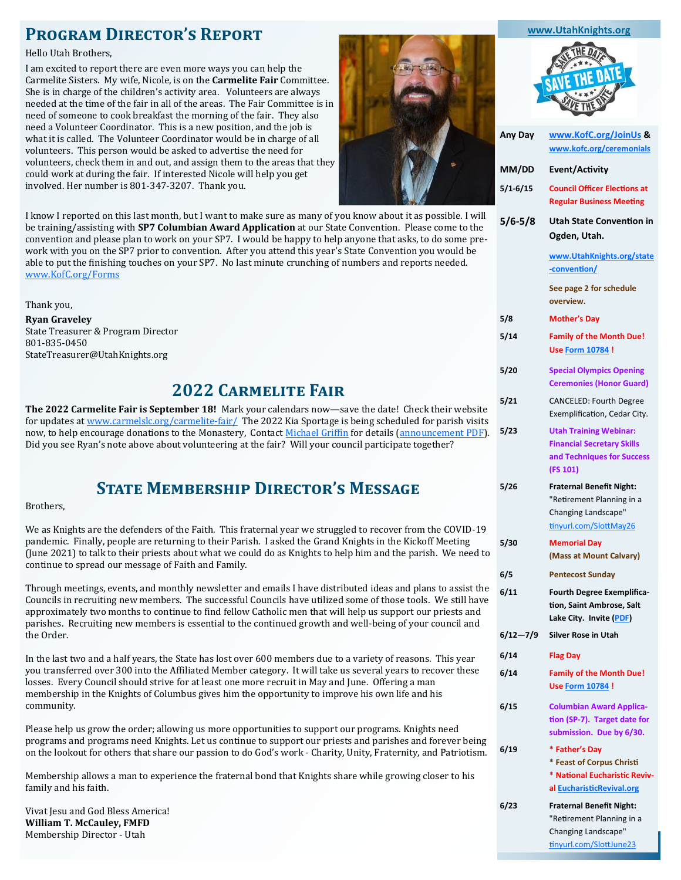# **Program Director's Report**

#### Hello Utah Brothers,

I am excited to report there are even more ways you can help the Carmelite Sisters. My wife, Nicole, is on the **Carmelite Fair** Committee. She is in charge of the children's activity area. Volunteers are always needed at the time of the fair in all of the areas. The Fair Committee is in need of someone to cook breakfast the morning of the fair. They also need a Volunteer Coordinator. This is a new position, and the job is what it is called. The Volunteer Coordinator would be in charge of all volunteers. This person would be asked to advertise the need for volunteers, check them in and out, and assign them to the areas that they could work at during the fair. If interested Nicole will help you get involved. Her number is 801-347-3207. Thank you.



I know I reported on this last month, but I want to make sure as many of you know about it as possible. I will be training/assisting with **SP7 Columbian Award Application** at our State Convention. Please come to the convention and please plan to work on your SP7. I would be happy to help anyone that asks, to do some prework with you on the SP7 prior to convention. After you attend this year's State Convention you would be able to put the finishing touches on your SP7. No last minute crunching of numbers and reports needed. [www.KofC.org/Forms](http://www.KofC.org/Forms)

Thank you,

**Ryan Graveley** State Treasurer & Program Director 801-835-0450 StateTreasurer@UtahKnights.org

# **2022 Carmelite Fair**

**5/23 Utah Training Webinar: The 2022 Carmelite Fair is September 18!** Mark your calendars now—save the date! Check their website for updates at [www.carmelslc.org/carmelite](https://www.carmelslc.org/carmelite-fair/)-fair/ The 2022 Kia Sportage is being scheduled for parish visits now, to help encourage donations to the Monastery, Contact [Michael Griffin](https://utahknights.org/knight/michael-griffin/) for details ([announcement PDF\).](https://utahknights.org/wp-content/uploads/2022/03/20220327-2022-Carmelite-Fair-Car-Annoucement.pdf) Did you see Ryan's note above about volunteering at the fair? Will your council participate together?

# **State Membership Director's Message**

Brothers,

**5/30 Memorial Day 6/5 Pentecost Sunday** We as Knights are the defenders of the Faith. This fraternal year we struggled to recover from the COVID-19 pandemic. Finally, people are returning to their Parish. I asked the Grand Knights in the Kickoff Meeting (June 2021) to talk to their priests about what we could do as Knights to help him and the parish. We need to continue to spread our message of Faith and Family.

**6/12—7/9 Silver Rose in Utah** Through meetings, events, and monthly newsletter and emails I have distributed ideas and plans to assist the Councils in recruiting new members. The successful Councils have utilized some of those tools. We still have approximately two months to continue to find fellow Catholic men that will help us support our priests and parishes. Recruiting new members is essential to the continued growth and well-being of your council and the Order.

In the last two and a half years, the State has lost over 600 members due to a variety of reasons. This year you transferred over 300 into the Affiliated Member category. It will take us several years to recover these losses. Every Council should strive for at least one more recruit in May and June. Offering a man membership in the Knights of Columbus gives him the opportunity to improve his own life and his community.

**6/19 \* Father's Day** Please help us grow the order; allowing us more opportunities to support our programs. Knights need programs and programs need Knights. Let us continue to support our priests and parishes and forever being on the lookout for others that share our passion to do God's work - Charity, Unity, Fraternity, and Patriotism.

Membership allows a man to experience the fraternal bond that Knights share while growing closer to his family and his faith.

Vivat Jesu and God Bless America! **William T. McCauley, FMFD** Membership Director - Utah

| Any Day      | www.KofC.org/JoinUs &<br>www.kofc.org/ceremonials                                                             |
|--------------|---------------------------------------------------------------------------------------------------------------|
| MM/DD        | Event/Activity                                                                                                |
| 5/1-6/15     | <b>Council Officer Elections at</b><br><b>Regular Business Meeting</b>                                        |
| 5/6-5/8      | Utah State Convention in<br>Ogden, Utah.                                                                      |
|              | www.UtahKnights.org/state<br>-convention/                                                                     |
|              | See page 2 for schedule<br>overview.                                                                          |
| 5/8          | <b>Mother's Day</b>                                                                                           |
| 5/14         | <b>Family of the Month Due!</b><br><b>Use Form 10784!</b>                                                     |
| 5/20         | <b>Special Olympics Opening</b><br><b>Ceremonies (Honor Guard)</b>                                            |
| 5/21         | <b>CANCELED: Fourth Degree</b><br>Exemplification, Cedar City.                                                |
| 5/23         | <b>Utah Training Webinar:</b><br><b>Financial Secretary Skills</b><br>and Techniques for Success<br>(FS 101)  |
| 5/26         | <b>Fraternal Benefit Night:</b><br>"Retirement Planning in a<br>Changing Landscape"<br>tinyurl.com/SlottMay26 |
| 5/30         | <b>Memorial Day</b><br>(Mass at Mount Calvary)                                                                |
| 6/5          | <b>Pentecost Sunday</b>                                                                                       |
| 6/11         | Fourth Degree Exemplifica-<br>tion, Saint Ambrose, Salt<br>Lake City. Invite (PDF)                            |
| $6/12 - 7/9$ | <b>Silver Rose in Utah</b>                                                                                    |
| 6/14         | <b>Flag Day</b>                                                                                               |
| 6/14         | <b>Family of the Month Due!</b><br>Use Form 10784!                                                            |
| 6/15         | <b>Columbian Award Applica-</b><br>tion (SP-7). Target date for<br>submission. Due by 6/30.                   |
| 6/19         | * Father's Day<br>* Feast of Corpus Christi<br>* National Eucharistic Reviv-<br>al EucharisticRevival.org     |

"Retirement Planning in a Changing Landscape" [tinyurl.com/SlottJune23](https://tinyurl.com/SlottJune23)

**[www.UtahKnights.org](http://www.UtahKnights.org)**

**6/23 Fraternal Benefit Night:**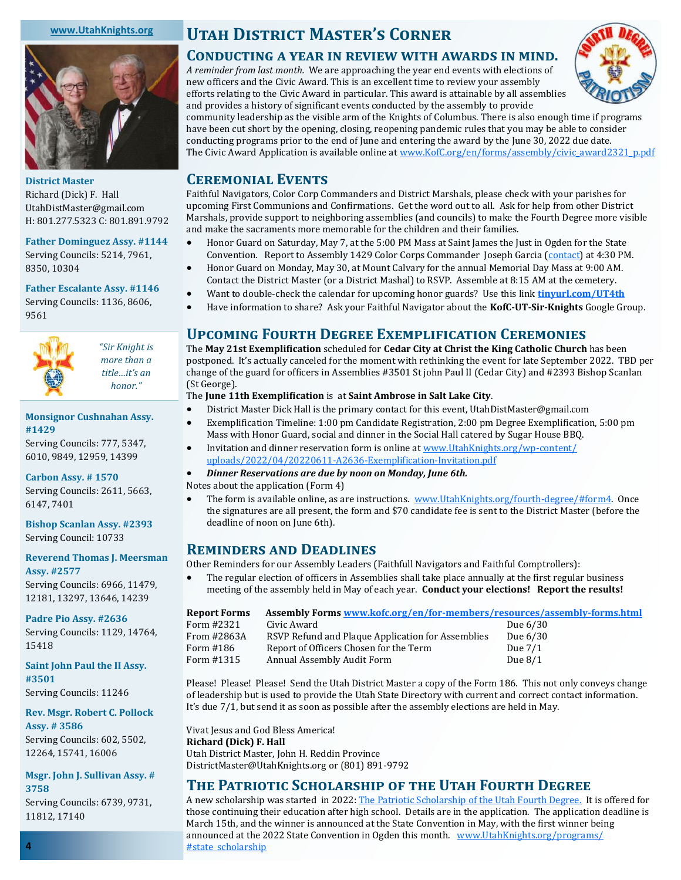### **[www.UtahKnights.org](http://www.UtahKnights.org)**



**District Master** Richard (Dick) F. Hall UtahDistMaster@gmail.com H: 801.277.5323 C: 801.891.9792

## **Father Dominguez Assy. #1144**

Serving Councils: 5214, 7961, 8350, 10304

### **Father Escalante Assy. #1146** Serving Councils: 1136, 8606,

9561



*"Sir Knight is more than a title…it's an honor."*

### **Monsignor Cushnahan Assy. #1429**

Serving Councils: 777, 5347, 6010, 9849, 12959, 14399

**Carbon Assy. # 1570** Serving Councils: 2611, 5663, 6147, 7401

**Bishop Scanlan Assy. #2393** Serving Council: 10733

**Reverend Thomas J. Meersman** 

**Assy. #2577** Serving Councils: 6966, 11479, 12181, 13297, 13646, 14239

**Padre Pio Assy. #2636** Serving Councils: 1129, 14764, 15418

**Saint John Paul the II Assy. #3501** Serving Councils: 11246

**Rev. Msgr. Robert C. Pollock Assy. # 3586** Serving Councils: 602, 5502,

12264, 15741, 16006 **Msgr. John J. Sullivan Assy. # 3758**

Serving Councils: 6739, 9731, 11812, 17140

# **Utah District Master's Corner**

## **Conducting a year in review with awards in mind.**

*A reminder from last month.* We are approaching the year end events with elections of new officers and the Civic Award. This is an excellent time to review your assembly efforts relating to the Civic Award in particular. This award is attainable by all assemblies and provides a history of significant events conducted by the assembly to provide



community leadership as the visible arm of the Knights of Columbus. There is also enough time if programs have been cut short by the opening, closing, reopening pandemic rules that you may be able to consider conducting programs prior to the end of June and entering the award by the June 30, 2022 due date. The Civic Award Application is available online at [www.KofC.org/en/forms/assembly/civic\\_award2321\\_p.pdf](https://www.kofc.org/en/forms/assembly/civic_award2321_p.pdf)

## **Ceremonial Events**

Faithful Navigators, Color Corp Commanders and District Marshals, please check with your parishes for upcoming First Communions and Confirmations. Get the word out to all. Ask for help from other District Marshals, provide support to neighboring assemblies (and councils) to make the Fourth Degree more visible and make the sacraments more memorable for the children and their families.

- Honor Guard on Saturday, May 7, at the 5:00 PM Mass at Saint James the Just in Ogden for the State Convention. Report to Assembly 1429 Color Corps Commander Joseph Garcia [\(contact\)](https://www.utahknights.org/knight/joe-garcia/) at 4:30 PM.
- Honor Guard on Monday, May 30, at Mount Calvary for the annual Memorial Day Mass at 9:00 AM. Contact the District Master (or a District Mashal) to RSVP. Assemble at 8:15 AM at the cemetery.
- Want to double-check the calendar for upcoming honor guards? Use this link **[tinyurl.com/UT4th](https://tinyurl.com/UT4th)**
- Have information to share? Ask your Faithful Navigator about the **KofC-UT-Sir-Knights** Google Group.

## **Upcoming Fourth Degree Exemplification Ceremonies**

The **May 21st Exemplification** scheduled for **Cedar City at Christ the King Catholic Church** has been postponed. It's actually canceled for the moment with rethinking the event for late September 2022. TBD per change of the guard for officers in Assemblies #3501 St john Paul II (Cedar City) and #2393 Bishop Scanlan (St George).

## The **June 11th Exemplification** is at **Saint Ambrose in Salt Lake City**.

- District Master Dick Hall is the primary contact for this event, UtahDistMaster@gmail.com
- Exemplification Timeline: 1:00 pm Candidate Registration, 2:00 pm Degree Exemplification, 5:00 pm Mass with Honor Guard, social and dinner in the Social Hall catered by Sugar House BBQ.
- Invitation and dinner reservation form is online at [www.UtahKnights.org/wp](https://utahknights.org/wp-content/uploads/2022/04/20220611-A2636-Exemplification-Invitation.pdf)-content/ [uploads/2022/04/20220611](https://utahknights.org/wp-content/uploads/2022/04/20220611-A2636-Exemplification-Invitation.pdf)-A2636-Exemplification-Invitation.pdf

## • *Dinner Reservations are due by noon on Monday, June 6th.*

Notes about the application (Form 4)

The form is available online, as are instructions. [www.UtahKnights.org/fourth](https://utahknights.org/fourth-degree/#form4)-degree/#form4. Once the signatures are all present, the form and \$70 candidate fee is sent to the District Master (before the deadline of noon on June 6th).

## **Reminders and Deadlines**

Other Reminders for our Assembly Leaders (Faithfull Navigators and Faithful Comptrollers):

• The regular election of officers in Assemblies shall take place annually at the first regular business meeting of the assembly held in May of each year. **Conduct your elections! Report the results!**

| Report Forms | Assembly Forms www.kofc.org/en/for-members/resources/assembly-forms.html |            |
|--------------|--------------------------------------------------------------------------|------------|
| Form #2321   | Civic Award                                                              | Due $6/30$ |
| From #2863A  | RSVP Refund and Plaque Application for Assemblies                        | Due $6/30$ |
| Form #186    | Report of Officers Chosen for the Term                                   | Due $7/1$  |
| Form #1315   | Annual Assembly Audit Form                                               | Due $8/1$  |
|              |                                                                          |            |

Please! Please! Please! Send the Utah District Master a copy of the Form 186. This not only conveys change of leadership but is used to provide the Utah State Directory with current and correct contact information. It's due 7/1, but send it as soon as possible after the assembly elections are held in May.

Vivat Jesus and God Bless America! **Richard (Dick) F. Hall** Utah District Master, John H. Reddin Province DistrictMaster@UtahKnights.org or (801) 891-9792

## **The Patriotic Scholarship of the Utah Fourth Degree**

A new scholarship was started in 2022: [The Patriotic Scholarship of the Utah Fourth Degree.](https://utahknights.org/wp-content/uploads/2022/02/20211023-KofC-Application-for-Patriotic-Scholarship-of-the-Utah-Fourth-Degree-A.pdf) It is offered for those continuing their education after high school. Details are in the application. The application deadline is March 15th, and the winner is announced at the State Convention in May, with the first winner being announced at the 2022 State Convention in Ogden this month. [www.UtahKnights.org/programs/](https://utahknights.org/programs/#state_scholarship) [#state\\_scholarship](https://utahknights.org/programs/#state_scholarship)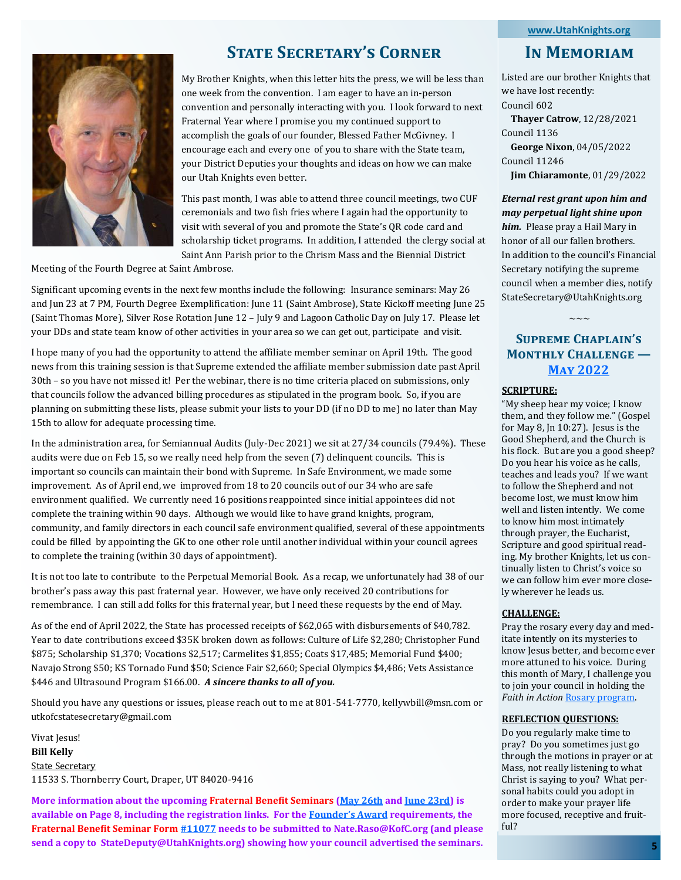#### **[www.UtahKnights.org](http://www.UtahKnights.org)**



# **State Secretary's Corner**

My Brother Knights, when this letter hits the press, we will be less than one week from the convention. I am eager to have an in-person convention and personally interacting with you. I look forward to next Fraternal Year where I promise you my continued support to accomplish the goals of our founder, Blessed Father McGivney. I encourage each and every one of you to share with the State team, your District Deputies your thoughts and ideas on how we can make our Utah Knights even better.

This past month, I was able to attend three council meetings, two CUF ceremonials and two fish fries where I again had the opportunity to visit with several of you and promote the State's QR code card and scholarship ticket programs. In addition, I attended the clergy social at Saint Ann Parish prior to the Chrism Mass and the Biennial District

Meeting of the Fourth Degree at Saint Ambrose.

Significant upcoming events in the next few months include the following: Insurance seminars: May 26 and Jun 23 at 7 PM, Fourth Degree Exemplification: June 11 (Saint Ambrose), State Kickoff meeting June 25 (Saint Thomas More), Silver Rose Rotation June 12 – July 9 and Lagoon Catholic Day on July 17. Please let your DDs and state team know of other activities in your area so we can get out, participate and visit.

I hope many of you had the opportunity to attend the affiliate member seminar on April 19th. The good news from this training session is that Supreme extended the affiliate member submission date past April 30th – so you have not missed it! Per the webinar, there is no time criteria placed on submissions, only that councils follow the advanced billing procedures as stipulated in the program book. So, if you are planning on submitting these lists, please submit your lists to your DD (if no DD to me) no later than May 15th to allow for adequate processing time.

In the administration area, for Semiannual Audits (July-Dec 2021) we sit at 27/34 councils (79.4%). These audits were due on Feb 15, so we really need help from the seven (7) delinquent councils. This is important so councils can maintain their bond with Supreme. In Safe Environment, we made some improvement. As of April end, we improved from 18 to 20 councils out of our 34 who are safe environment qualified. We currently need 16 positions reappointed since initial appointees did not complete the training within 90 days. Although we would like to have grand knights, program, community, and family directors in each council safe environment qualified, several of these appointments could be filled by appointing the GK to one other role until another individual within your council agrees to complete the training (within 30 days of appointment).

It is not too late to contribute to the Perpetual Memorial Book. As a recap, we unfortunately had 38 of our brother's pass away this past fraternal year. However, we have only received 20 contributions for remembrance. I can still add folks for this fraternal year, but I need these requests by the end of May.

As of the end of April 2022, the State has processed receipts of \$62,065 with disbursements of \$40,782. Year to date contributions exceed \$35K broken down as follows: Culture of Life \$2,280; Christopher Fund \$875; Scholarship \$1,370; Vocations \$2,517; Carmelites \$1,855; Coats \$17,485; Memorial Fund \$400; Navajo Strong \$50; KS Tornado Fund \$50; Science Fair \$2,660; Special Olympics \$4,486; Vets Assistance \$446 and Ultrasound Program \$166.00. *A sincere thanks to all of you.*

Should you have any questions or issues, please reach out to me at 801-541-7770, kellywbill@msn.com or utkofcstatesecretary@gmail.com

Vivat Jesus! **Bill Kelly** State Secretary 11533 S. Thornberry Court, Draper, UT 84020-9416

**More information about the upcoming Fraternal Benefit Seminars ([May 26th](https://tinyurl.com/SlottMay26) and [June 23rd\)](https://tinyurl.com/SlottJune23) is available on Page 8, including the registration links. For the [Founder](https://www.KofC.org/Star)'s Award requirements, the Fraternal Benefit Seminar Form [#11077](https://www.kofc.org/en/forms/council/11077-fraternal-benefit-seminar-form.pdf) needs to be submitted to Nate.Raso@KofC.org (and please send a copy to StateDeputy@UtahKnights.org) showing how your council advertised the seminars.** 

## **In Memoriam**

Listed are our brother Knights that we have lost recently: Council 602

 **Thayer Catrow**, 12/28/2021 Council 1136 **George Nixon**, 04/05/2022 Council 11246

 **Jim Chiaramonte**, 01/29/2022

## *Eternal rest grant upon him and may perpetual light shine upon*

*him.* Please pray a Hail Mary in honor of all our fallen brothers. In addition to the council's Financial Secretary notifying the supreme council when a member dies, notify StateSecretary@UtahKnights.org

## **Supreme Chaplain's Monthly Challenge — [May 2022](https://www.kofc.org/en/who-we-are/our-faith/may-2022.html)**

 $\sim\sim\sim$ 

## **SCRIPTURE:**

"My sheep hear my voice; I know them, and they follow me." (Gospel for May 8, Jn 10:27). Jesus is the Good Shepherd, and the Church is his flock. But are you a good sheep? Do you hear his voice as he calls, teaches and leads you? If we want to follow the Shepherd and not become lost, we must know him well and listen intently. We come to know him most intimately through prayer, the Eucharist, Scripture and good spiritual reading. My brother Knights, let us continually listen to Christ's voice so we can follow him ever more closely wherever he leads us.

#### **CHALLENGE:**

Pray the rosary every day and meditate intently on its mysteries to know Jesus better, and become ever more attuned to his voice. During this month of Mary, I challenge you to join your council in holding the *Faith in Action* [Rosary program.](https://www.kofc.org/rosary)

#### **REFLECTION QUESTIONS:**

Do you regularly make time to pray? Do you sometimes just go through the motions in prayer or at Mass, not really listening to what Christ is saying to you? What personal habits could you adopt in order to make your prayer life more focused, receptive and fruitful?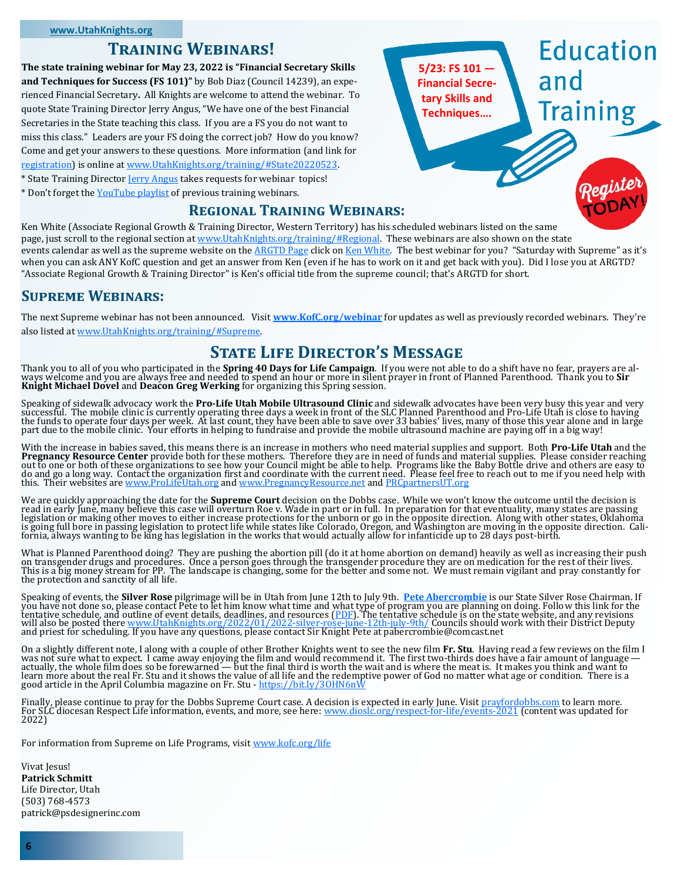## **Training Webinars!**

**The state training webinar for May 23, 2022 is "Financial Secretary Skills and Techniques for Success (FS 101)"** by Bob Diaz (Council 14239), an experienced Financial Secretary**.** All Knights are welcome to attend the webinar. To quote State Training Director Jerry Angus, "We have one of the best Financial Secretaries in the State teaching this class. If you are a FS you do not want to miss this class." Leaders are your FS doing the correct job? How do you know? Come and get your answers to these questions. More information (and link for [registration\)](https://forms.gle/rF3VW3xXX8Rjbb3B6) is online at [www.UtahKnights.org/training/#State20220523.](https://utahknights.org/training/#State20220523) \* State Training Director [Jerry Angus](https://utahknights.org/knight/jerry-angus/) takes requests for webinar topics!

\* Don't forget the [YouTube playlist](https://www.youtube.com/playlist?list=PLUPCGT3UtaXDmE-06azJCjoBUqzMn92XL) of previous training webinars.

## **Regional Training Webinars:**

Ken White (Associate Regional Growth & Training Director, Western Territory) has his scheduled webinars listed on the same page, just scroll to the regional section at [www.UtahKnights.org/training/#Regional.](https://utahknights.org/training/#Regional) These webinars are also shown on the state events calendar as well as the supreme website on the [ARGTD Page](https://www.kofc.org/en/for-members/resources/fraternal-training/regional-training-director-page.html?1tab=1tab0) click on [Ken White.](https://www.kofc.org/en/for-members/resources/fraternal-training/ken-white.html) The best webinar for you? "Saturday with Supreme" as it's when you can ask ANY KofC question and get an answer from Ken (even if he has to work on it and get back with you). Did I lose you at ARGTD? "Associate Regional Growth & Training Director" is Ken's official title from the supreme council; that's ARGTD for short.

**5/23: FS 101 — [Financial Secre](https://utahknights.org/training/#State20220523)tary Skills and Techniques….**

**Education** 

**Training** 

## **Supreme Webinars:**

The next Supreme webinar has not been announced. Visit **[www.KofC.org/webinar](https://www.KofC.org/webinar)** for updates as well as previously recorded webinars. They're also listed at [www.UtahKnights.org/training/#Supreme.](https://utahknights.org/training/#Supreme)

## **State Life Director's Message**

Thank you to all of you who participated in the **Spring 40 Days for Life Campaign**. If you were not able to do a shift have no fear, prayers are al-<br>ways welcome and you are always free and needed to spend an hour or more

Speaking of sidewalk advocacy work the **Pro-Life Utah Mobile Ultrasound Clinic** and sidewalk advocates have been very busy this year and very successful. The mobile clinic is currently operating three days a week in front of the SLC Planned Parenthood and Pro-Life Utah is close to having<br>the funds to operate four days per week. At last count, they have been able

With the increase in babies saved, this means there is an increase in mothers who need material supplies and support. Both Pr<mark>o-Life Utah</mark> and the<br>**Pregnancy Resource Center** provide both for these mothers. Therefore they out to one or both of these organizations to see how your Council might be able to help. Programs like the Baby Bottle drive and others are easy to<br>do and go a long way. Contact the organization first and coordinate with this. Their websites are [www.ProLifeUtah.org](https://www.ProLifeUtah.org) and [www.PregnancyResource.net](https://www.PregnancyResource.net) and [PRCpartnersUT.org](https://PRCpartnersUT.org)

We are quickly approaching the date for the **Supreme Court** decision on the Dobbs case. While we won't know the outcome until the decision is read in early June, many believe this case will overturn Roe v. Wade in part or in full. In preparation for that eventuality, many states are passing<br>legislation or making other moves to either increase protections for the

What is Planned Parenthood doing? They are pushing the abortion pill (do it at home abortion on demand) heavily as well as increasing their push<br>on transgender drugs and procedures. Once a person goes through the transgend

Speaking of events, the **Silver Rose** pilgrimage will be in Utah from June 12th to July 9th. **[Pete Abercrombie](https://utahknights.org/knight/peter-abercrombie/)** is our State Silver Rose Chairman. If you have not done so, please contact Pete to let him know what time and what type of program you are planning on doing. Follow this link for the<br>tentative schedule, and outline of event details, deadlines, and resources (<u></u>

On a slightly different note, I along with a couple of other Brother Knights went to see the new film **Fr. Stu**. Having read a few reviews on the film I<br>was not sure what to expect. I came away enjoying the film and would actually, the whole film does so be forewarned — but the final third is worth the wait and is where the meat is. It makes you think and want to<br>learn more about the real Fr. Stu and it shows the value of all life and the r good article in the April Columbia magazine on Fr. Stu - <https://bit.ly/3OHN6nW>

Finally, please continue to pray for the Dobbs Supreme Court case. A decision is expected in early June. Visit <u>[prayfordobbs.com](https://prayfordobbs.com)</u> to learn more.<br>For SLC diocesan Respect Life information, events, and more, see here: <u>www.d</u>

For information from Supreme on Life Programs, visit [www.kofc.org/life](https://www.kofc.org/life)

Vivat Jesus! **Patrick Schmitt** Life Director, Utah (503) 768-4573 patrick@psdesignerinc.com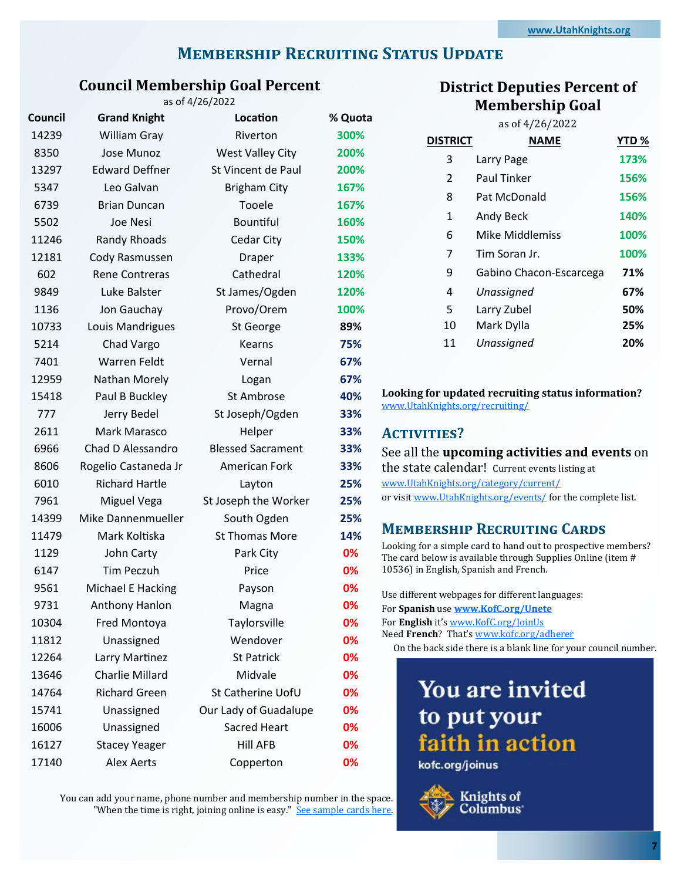# **MEMBERSHIP RECRUITING STATUS UPDATE**

#### **Council Membership Goal Percent**  $64/26/2022$

| Council | <b>Grand Knight</b>    | as 01 4/20/2022<br>Location | % Quota |
|---------|------------------------|-----------------------------|---------|
| 14239   | William Gray           | Riverton                    | 300%    |
| 8350    | Jose Munoz             | <b>West Valley City</b>     | 200%    |
| 13297   | <b>Edward Deffner</b>  | St Vincent de Paul          | 200%    |
| 5347    | Leo Galvan             | <b>Brigham City</b>         | 167%    |
| 6739    | <b>Brian Duncan</b>    | Tooele                      | 167%    |
| 5502    | Joe Nesi               | Bountiful                   | 160%    |
| 11246   | <b>Randy Rhoads</b>    | <b>Cedar City</b>           | 150%    |
| 12181   | Cody Rasmussen         | Draper                      | 133%    |
| 602     | <b>Rene Contreras</b>  | Cathedral                   | 120%    |
| 9849    | Luke Balster           | St James/Ogden              | 120%    |
| 1136    | Jon Gauchay            | Provo/Orem                  | 100%    |
| 10733   | Louis Mandrigues       | St George                   | 89%     |
| 5214    | Chad Vargo             | Kearns                      | 75%     |
| 7401    | <b>Warren Feldt</b>    | Vernal                      | 67%     |
| 12959   | Nathan Morely          | Logan                       | 67%     |
| 15418   | Paul B Buckley         | St Ambrose                  | 40%     |
| 777     | Jerry Bedel            | St Joseph/Ogden             | 33%     |
| 2611    | Mark Marasco           | Helper                      | 33%     |
| 6966    | Chad D Alessandro      | <b>Blessed Sacrament</b>    | 33%     |
| 8606    | Rogelio Castaneda Jr   | American Fork               | 33%     |
| 6010    | <b>Richard Hartle</b>  | Layton                      | 25%     |
| 7961    | Miguel Vega            | St Joseph the Worker        | 25%     |
| 14399   | Mike Dannenmueller     | South Ogden                 | 25%     |
| 11479   | Mark Koltiska          | <b>St Thomas More</b>       | 14%     |
| 1129    | John Carty             | Park City                   | 0%      |
| 6147    | <b>Tim Peczuh</b>      | Price                       | 0%      |
| 9561    | Michael E Hacking      | Payson                      | 0%      |
| 9731    | Anthony Hanlon         | Magna                       | 0%      |
| 10304   | Fred Montoya           | Taylorsville                | 0%      |
| 11812   | Unassigned             | Wendover                    | 0%      |
| 12264   | Larry Martinez         | <b>St Patrick</b>           | 0%      |
| 13646   | <b>Charlie Millard</b> | Midvale                     | 0%      |
| 14764   | <b>Richard Green</b>   | St Catherine UofU           | 0%      |
| 15741   | Unassigned             | Our Lady of Guadalupe       | 0%      |
| 16006   | Unassigned             | <b>Sacred Heart</b>         | 0%      |
| 16127   | <b>Stacey Yeager</b>   | <b>Hill AFB</b>             | 0%      |
| 17140   | <b>Alex Aerts</b>      | Copperton                   | 0%      |

You can add your name, phone number and membership number in the space. "When the time is right, joining online is easy." See sample cards here.

## **District Deputies Percent of Membership Goal**

|                 | as of 4/26/2022         |       |
|-----------------|-------------------------|-------|
| <b>DISTRICT</b> | <b>NAME</b>             | YTD % |
| 3               | Larry Page              | 173%  |
| $\mathfrak{p}$  | Paul Tinker             | 156%  |
| 8               | Pat McDonald            | 156%  |
| 1               | Andy Beck               | 140%  |
| 6               | Mike Middlemiss         | 100%  |
| 7               | Tim Soran Jr.           | 100%  |
| 9               | Gabino Chacon-Escarcega | 71%   |
| 4               | Unassigned              | 67%   |
| 5               | Larry Zubel             | 50%   |
| 10              | Mark Dylla              | 25%   |
| 11              | Unassigned              | 20%   |
|                 |                         |       |

## **Looking for updated recruiting status information?**  [www.UtahKnights.org/recruiting/](https://www.UtahKnights.org/recruiting/)

## **Activities?**

|                                               | See all the <b>upcoming activities and events</b> on |
|-----------------------------------------------|------------------------------------------------------|
| the state calendar! Current events listing at |                                                      |

[www.UtahKnights.org/category/current/](https://www.UtahKnights.org/category/current/)

or visit [www.UtahKnights.org/events/](https://www.UtahKnights.org/events/) for the complete list.

## **Membership Recruiting Cards**

Looking for a simple card to hand out to prospective members? The card below is available through Supplies Online (item # 10536) in English, Spanish and French.

| Use different webpages for different languages:                 |
|-----------------------------------------------------------------|
| For Spanish use www.KofC.org/Unete                              |
| For English it's www.KofC.org/JoinUs                            |
| Need <b>French</b> ? That's www.kofc.org/adherer                |
| On the back side there is a blank line for your council number. |

# You are invited to put your faith in action

kofc.org/joinus